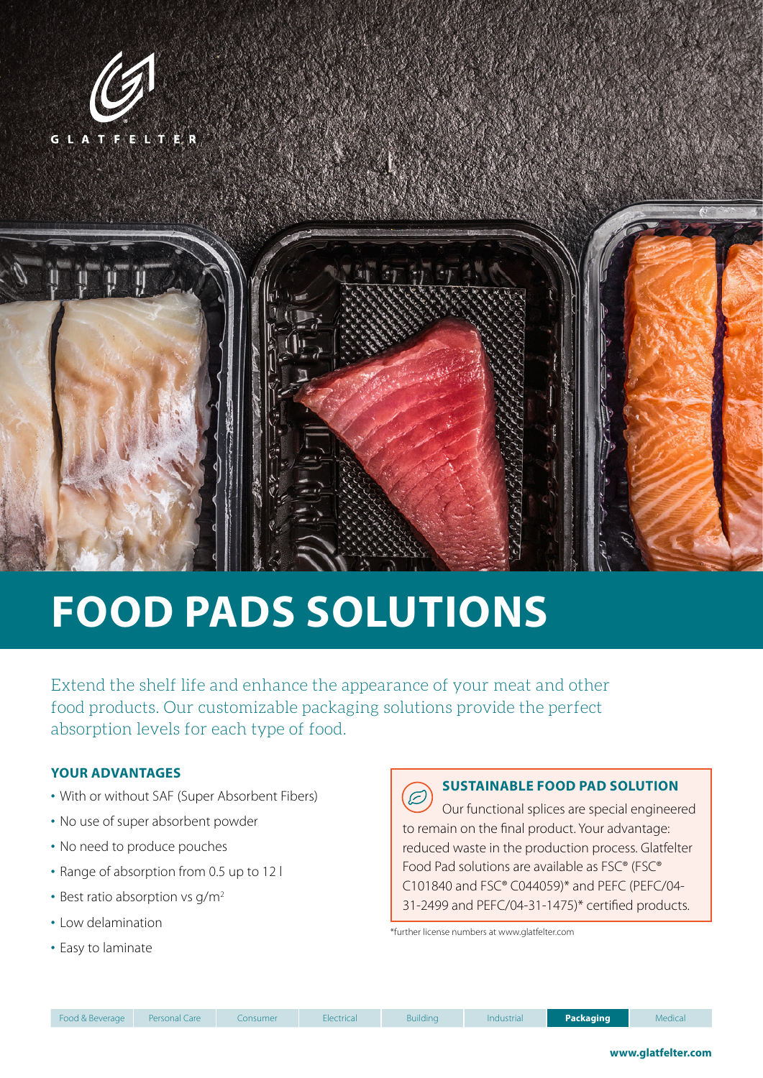



# **FOOD PADS SOLUTIONS**

Extend the shelf life and enhance the appearance of your meat and other food products. Our customizable packaging solutions provide the perfect absorption levels for each type of food.

#### **YOUR ADVANTAGES**

- With or without SAF (Super Absorbent Fibers)
- No use of super absorbent powder
- No need to produce pouches
- Range of absorption from 0.5 up to 12 l
- Best ratio absorption vs  $q/m^2$
- Low delamination
- Easy to laminate

## **SUSTAINABLE FOOD PAD SOLUTION**

E Our functional splices are special engineered to remain on the final product. Your advantage: reduced waste in the production process. Glatfelter Food Pad solutions are available as FSC® (FSC® C101840 and FSC® C044059)\* and PEFC (PEFC/04- 31-2499 and PEFC/04-31-1475)\* certified products.

\*further license numbers at www.glatfelter.com